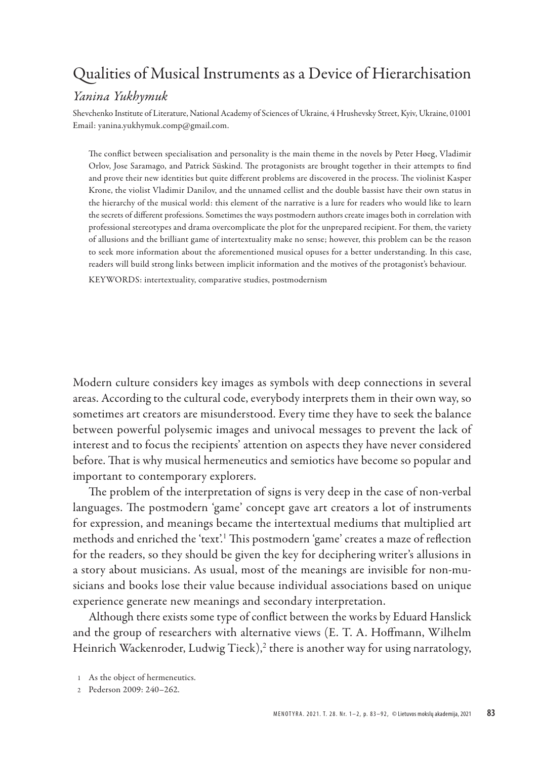# Qualities of Musical Instruments as a Device of Hierarchisation

### *Yanina Yukhymuk*

Shevchenko Institute of Literature, National Academy of Sciences of Ukraine, 4 Hrushevsky Street, Kyiv, Ukraine, 01001 Email: yanina.yukhymuk.comp@gmail.com.

The conflict between specialisation and personality is the main theme in the novels by Peter Høeg, Vladimir Orlov, Jose Saramago, and Patrick Süskind. The protagonists are brought together in their attempts to find and prove their new identities but quite different problems are discovered in the process. The violinist Kasper Krone, the violist Vladimir Danilov, and the unnamed cellist and the double bassist have their own status in the hierarchy of the musical world: this element of the narrative is a lure for readers who would like to learn the secrets of different professions. Sometimes the ways postmodern authors create images both in correlation with professional stereotypes and drama overcomplicate the plot for the unprepared recipient. For them, the variety of allusions and the brilliant game of intertextuality make no sense; however, this problem can be the reason to seek more information about the aforementioned musical opuses for a better understanding. In this case, readers will build strong links between implicit information and the motives of the protagonist's behaviour.

KEYWORDS: intertextuality, comparative studies, postmodernism

Modern culture considers key images as symbols with deep connections in several areas. According to the cultural code, everybody interprets them in their own way, so sometimes art creators are misunderstood. Every time they have to seek the balance between powerful polysemic images and univocal messages to prevent the lack of interest and to focus the recipients' attention on aspects they have never considered before. That is why musical hermeneutics and semiotics have become so popular and important to contemporary explorers.

The problem of the interpretation of signs is very deep in the case of non-verbal languages. The postmodern 'game' concept gave art creators a lot of instruments for expression, and meanings became the intertextual mediums that multiplied art methods and enriched the 'text'.<sup>1</sup> This postmodern 'game' creates a maze of reflection for the readers, so they should be given the key for deciphering writer's allusions in a story about musicians. As usual, most of the meanings are invisible for non-musicians and books lose their value because individual associations based on unique experience generate new meanings and secondary interpretation.

Although there exists some type of conflict between the works by Eduard Hanslick and the group of researchers with alternative views (E. T. A. Hoffmann, Wilhelm Heinrich Wackenroder, Ludwig Tieck),<sup>2</sup> there is another way for using narratology,

2 Pederson 2009: 240–262.

<sup>1</sup> As the object of hermeneutics.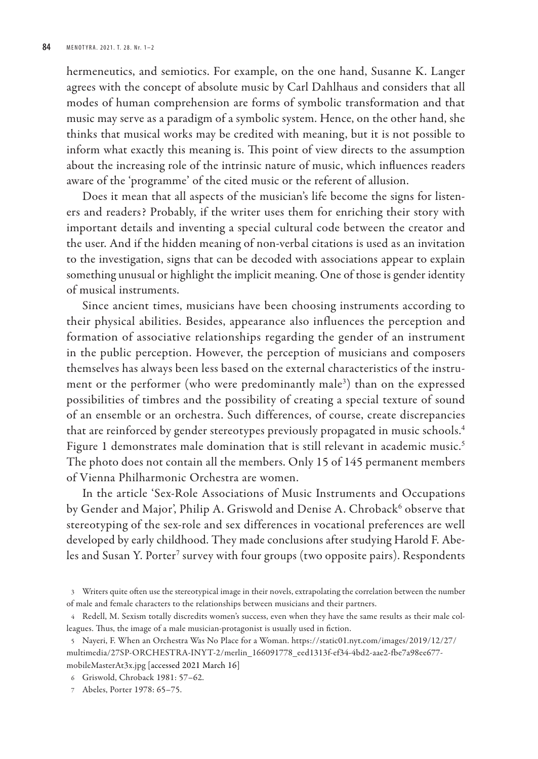hermeneutics, and semiotics. For example, on the one hand, Susanne K. Langer agrees with the concept of absolute music by Carl Dahlhaus and considers that all modes of human comprehension are forms of symbolic transformation and that music may serve as a paradigm of a symbolic system. Hence, on the other hand, she thinks that musical works may be credited with meaning, but it is not possible to inform what exactly this meaning is. This point of view directs to the assumption about the increasing role of the intrinsic nature of music, which influences readers aware of the 'programme' of the cited music or the referent of allusion.

Does it mean that all aspects of the musician's life become the signs for listeners and readers? Probably, if the writer uses them for enriching their story with important details and inventing a special cultural code between the creator and the user. And if the hidden meaning of non-verbal citations is used as an invitation to the investigation, signs that can be decoded with associations appear to explain something unusual or highlight the implicit meaning. One of those is gender identity of musical instruments.

Since ancient times, musicians have been choosing instruments according to their physical abilities. Besides, appearance also influences the perception and formation of associative relationships regarding the gender of an instrument in the public perception. However, the perception of musicians and composers themselves has always been less based on the external characteristics of the instrument or the performer (who were predominantly male<sup>3</sup>) than on the expressed possibilities of timbres and the possibility of creating a special texture of sound of an ensemble or an orchestra. Such differences, of course, create discrepancies that are reinforced by gender stereotypes previously propagated in music schools.<sup>4</sup> Figure 1 demonstrates male domination that is still relevant in academic music.<sup>5</sup> The photo does not contain all the members. Only 15 of 145 permanent members of Vienna Philharmonic Orchestra are women.

In the article 'Sex-Role Associations of Music Instruments and Occupations by Gender and Major', Philip A. Griswold and Denise A. Chroback<sup>6</sup> observe that stereotyping of the sex-role and sex differences in vocational preferences are well developed by early childhood. They made conclusions after studying Harold F. Abeles and Susan Y. Porter<sup>7</sup> survey with four groups (two opposite pairs). Respondents

5 Nayeri, F. When an Orchestra Was No Place for a Woman. https://static01.nyt.com/images/2019/12/27/ multimedia/27SP-ORCHESTRA-INYT-2/merlin\_166091778\_eed1313f-ef34-4bd2-aae2-fbe7a98ee677 mobileMasterAt3x.jpg [accessed 2021 March 16]

<sup>3</sup> Writers quite often use the stereotypical image in their novels, extrapolating the correlation between the number of male and female characters to the relationships between musicians and their partners.

<sup>4</sup> Redell, M. Sexism totally discredits women's success, even when they have the same results as their male colleagues. Thus, the image of a male musician-protagonist is usually used in fiction.

<sup>6</sup> Griswold, Chroback 1981: 57–62.

<sup>7</sup> Abeles, Porter 1978: 65–75.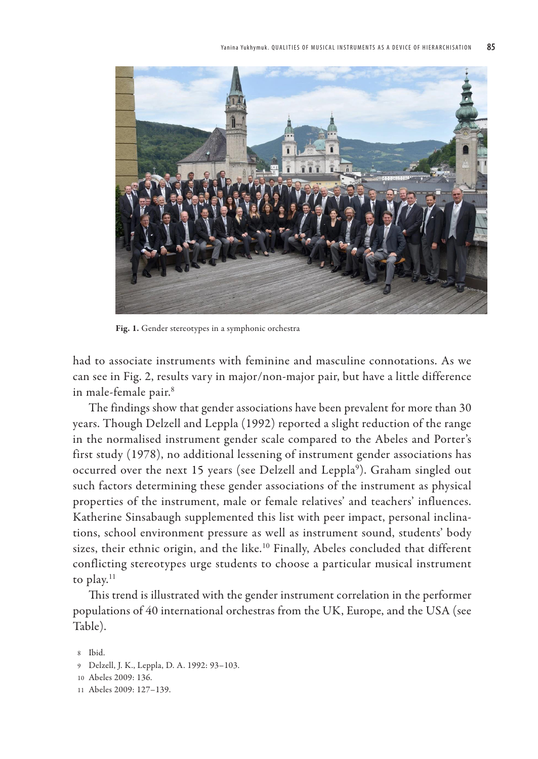

Fig. 1. Gender stereotypes in a symphonic orchestra

had to associate instruments with feminine and masculine connotations. As we can see in Fig. 2, results vary in major/non-major pair, but have a little difference in male-female pair.<sup>8</sup>

The findings show that gender associations have been prevalent for more than 30 years. Though Delzell and Leppla (1992) reported a slight reduction of the range in the normalised instrument gender scale compared to the Abeles and Porter's first study (1978), no additional lessening of instrument gender associations has occurred over the next 15 years (see Delzell and Leppla<sup>9</sup>). Graham singled out such factors determining these gender associations of the instrument as physical properties of the instrument, male or female relatives' and teachers' influences. Katherine Sinsabaugh supplemented this list with peer impact, personal inclinations, school environment pressure as well as instrument sound, students' body sizes, their ethnic origin, and the like.<sup>10</sup> Finally, Abeles concluded that different conflicting stereotypes urge students to choose a particular musical instrument to play.<sup>11</sup>

This trend is illustrated with the gender instrument correlation in the performer populations of 40 international orchestras from the UK, Europe, and the USA (see Table).

- 9 Delzell, J. K., Leppla, D. A. 1992: 93–103.
- 10 Abeles 2009: 136.
- 11 Abeles 2009: 127–139.

<sup>8</sup> Ibid.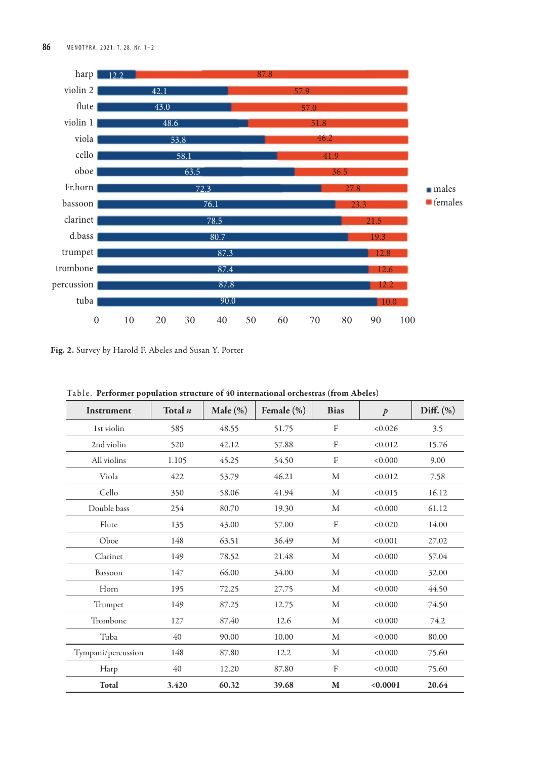

Fig. 2. Survey by Harold F. Abeles and Susan Y. Porter

|  |  | Table. Performer population structure of 40 international orchestras (from Abeles) |  |  |  |  |  |  |  |
|--|--|------------------------------------------------------------------------------------|--|--|--|--|--|--|--|
|--|--|------------------------------------------------------------------------------------|--|--|--|--|--|--|--|

| Instrument         | Total n | Male $(\%)$ | Female $(\%)$ | <b>Bias</b>         | $\mathcal{P}$ | Diff. $(\%)$ |
|--------------------|---------|-------------|---------------|---------------------|---------------|--------------|
| 1st violin         | 585     | 48.55       | 51.75         | F                   | < 0.026       | 3.5          |
| 2nd violin         | 520     | 42.12       | 57.88         | F                   | < 0.012       | 15.76        |
| All violins        | 1.105   | 45.25       | 54.50         | $\Gamma$            | < 0.000       | 9.00         |
| Viola              | 422     | 53.79       | 46.21         | M                   | < 0.012       | 7.58         |
| Cello              | 350     | 58.06       | 41.94         | M                   | < 0.015       | 16.12        |
| Double bass        | 254     | 80.70       | 19.30         | M                   | < 0.000       | 61.12        |
| Flute              | 135     | 43.00       | 57.00         | $\Gamma$<br>< 0.020 |               | 14.00        |
| Oboe               | 148     | 63.51       | 36.49         | M                   | < 0.001       | 27.02        |
| Clarinet           | 149     | 78.52       | 21.48         | M                   | < 0.000       | 57.04        |
| Bassoon            | 147     | 66.00       | 34.00         | M                   | < 0.000       | 32.00        |
| Horn               | 195     | 72.25       | 27.75         | M                   | < 0.000       | 44.50        |
| Trumpet            | 149     | 87.25       | 12.75         | M                   | < 0.000       | 74.50        |
| Trombone           | 127     | 87.40       | 12.6          | M                   | < 0.000       | 74.2         |
| Tuba               | 40      | 90.00       | 10.00         | M                   | < 0.000       | 80.00        |
| Tympani/percussion | 148     | 87.80       | 12.2          | M                   | < 0.000       | 75.60        |
| Harp               | 40      | 12.20       | 87.80         | $\Gamma$            | < 0.000       | 75.60        |
| Total              | 3.420   | 60.32       | 39.68         | M                   | < 0.0001      | 20.64        |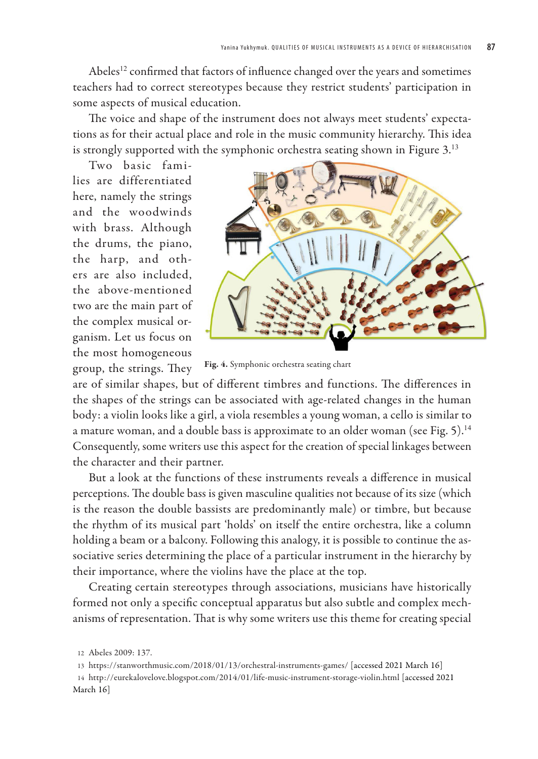Abeles<sup>12</sup> confirmed that factors of influence changed over the years and sometimes teachers had to correct stereotypes because they restrict students' participation in some aspects of musical education.

The voice and shape of the instrument does not always meet students' expectations as for their actual place and role in the music community hierarchy. This idea is strongly supported with the symphonic orchestra seating shown in Figure 3.<sup>13</sup>

Two basic families are differentiated here, namely the strings and the woodwinds with brass. Although the drums, the piano, the harp, and others are also included, the above-mentioned two are the main part of the complex musical organism. Let us focus on the most homogeneous group, the strings. They



Fig. 4. Symphonic orchestra seating chart

are of similar shapes, but of different timbres and functions. The differences in the shapes of the strings can be associated with age-related changes in the human body: a violin looks like a girl, a viola resembles a young woman, a cello is similar to a mature woman, and a double bass is approximate to an older woman (see Fig. 5).<sup>14</sup> Consequently, some writers use this aspect for the creation of special linkages between the character and their partner.

But a look at the functions of these instruments reveals a difference in musical perceptions. The double bass is given masculine qualities not because of its size (which is the reason the double bassists are predominantly male) or timbre, but because the rhythm of its musical part 'holds' on itself the entire orchestra, like a column holding a beam or a balcony. Following this analogy, it is possible to continue the associative series determining the place of a particular instrument in the hierarchy by their importance, where the violins have the place at the top.

Creating certain stereotypes through associations, musicians have historically formed not only a specific conceptual apparatus but also subtle and complex mechanisms of representation. That is why some writers use this theme for creating special

<sup>12</sup> Abeles 2009: 137.

<sup>13</sup> https://stanworthmusic.com/2018/01/13/orchestral-instruments-games/ [accessed 2021 March 16]

<sup>14</sup> http://eurekalovelove.blogspot.com/2014/01/life-music-instrument-storage-violin.html [accessed 2021 March 16]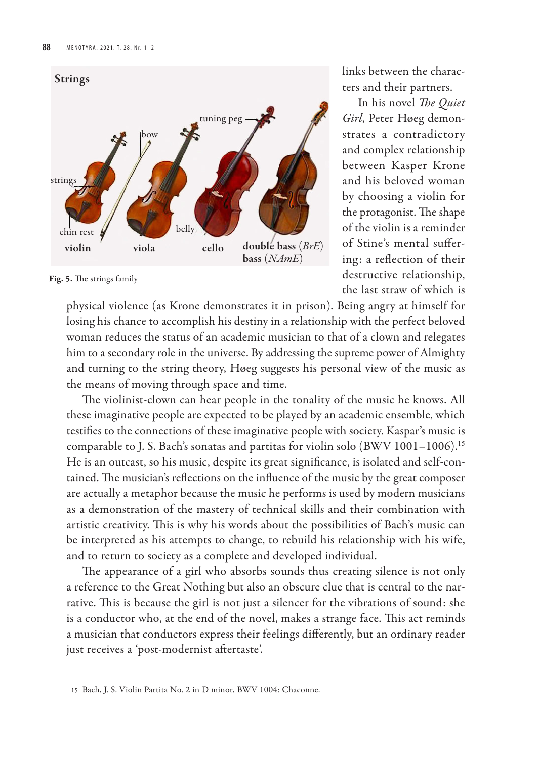

Fig. 5. The strings family

links between the characters and their partners.

In his novel *The Quiet Girl*, Peter Høeg demonstrates a contradictory and complex relationship between Kasper Krone and his beloved woman by choosing a violin for the protagonist. The shape of the violin is a reminder of Stine's mental suffering: a reflection of their destructive relationship, the last straw of which is

physical violence (as Krone demonstrates it in prison). Being angry at himself for losing his chance to accomplish his destiny in a relationship with the perfect beloved woman reduces the status of an academic musician to that of a clown and relegates him to a secondary role in the universe. By addressing the supreme power of Almighty and turning to the string theory, Høeg suggests his personal view of the music as the means of moving through space and time.

The violinist-clown can hear people in the tonality of the music he knows. All these imaginative people are expected to be played by an academic ensemble, which testifies to the connections of these imaginative people with society. Kaspar's music is comparable to J. S. Bach's sonatas and partitas for violin solo (BWV 1001–1006).<sup>15</sup> He is an outcast, so his music, despite its great significance, is isolated and self-contained. The musician's reflections on the influence of the music by the great composer are actually a metaphor because the music he performs is used by modern musicians as a demonstration of the mastery of technical skills and their combination with artistic creativity. This is why his words about the possibilities of Bach's music can be interpreted as his attempts to change, to rebuild his relationship with his wife, and to return to society as a complete and developed individual.

The appearance of a girl who absorbs sounds thus creating silence is not only a reference to the Great Nothing but also an obscure clue that is central to the narrative. This is because the girl is not just a silencer for the vibrations of sound: she is a conductor who, at the end of the novel, makes a strange face. This act reminds a musician that conductors express their feelings differently, but an ordinary reader just receives a 'post-modernist aftertaste'.

<sup>15</sup> Bach, J. S. Violin Partita No. 2 in D minor, BWV 1004: Chaconne.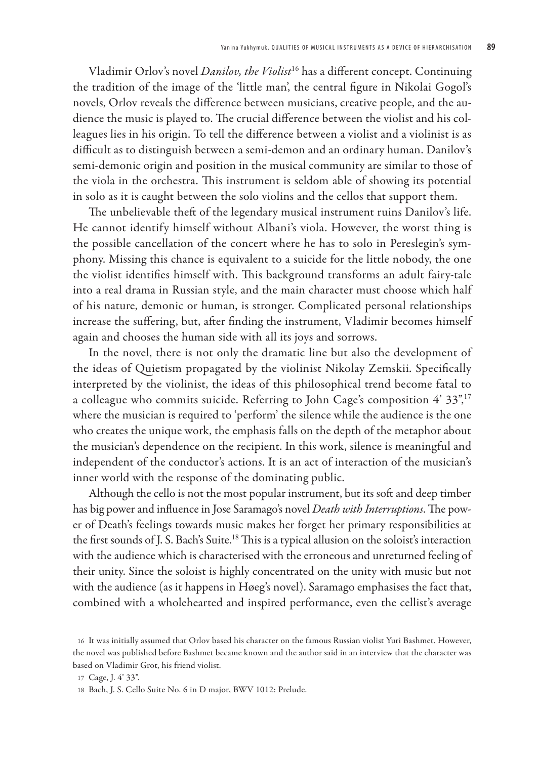Vladimir Orlov's novel *Danilov, the Violist*<sup>16</sup> has a different concept. Continuing the tradition of the image of the 'little man', the central figure in Nikolai Gogol's novels, Orlov reveals the difference between musicians, creative people, and the audience the music is played to. The crucial difference between the violist and his colleagues lies in his origin. To tell the difference between a violist and a violinist is as difficult as to distinguish between a semi-demon and an ordinary human. Danilov's semi-demonic origin and position in the musical community are similar to those of the viola in the orchestra. This instrument is seldom able of showing its potential in solo as it is caught between the solo violins and the cellos that support them.

The unbelievable theft of the legendary musical instrument ruins Danilov's life. He cannot identify himself without Albani's viola. However, the worst thing is the possible cancellation of the concert where he has to solo in Pereslegin's symphony. Missing this chance is equivalent to a suicide for the little nobody, the one the violist identifies himself with. This background transforms an adult fairy-tale into a real drama in Russian style, and the main character must choose which half of his nature, demonic or human, is stronger. Complicated personal relationships increase the suffering, but, after finding the instrument, Vladimir becomes himself again and chooses the human side with all its joys and sorrows.

In the novel, there is not only the dramatic line but also the development of the ideas of Quietism propagated by the violinist Nikolay Zemskii. Specifically interpreted by the violinist, the ideas of this philosophical trend become fatal to a colleague who commits suicide. Referring to John Cage's composition 4' 33",<sup>17</sup> where the musician is required to 'perform' the silence while the audience is the one who creates the unique work, the emphasis falls on the depth of the metaphor about the musician's dependence on the recipient. In this work, silence is meaningful and independent of the conductor's actions. It is an act of interaction of the musician's inner world with the response of the dominating public.

Although the cello is not the most popular instrument, but its soft and deep timber has big power and influence in Jose Saramago's novel *Death with Interruptions*. The power of Death's feelings towards music makes her forget her primary responsibilities at the first sounds of J. S. Bach's Suite.<sup>18</sup> This is a typical allusion on the soloist's interaction with the audience which is characterised with the erroneous and unreturned feeling of their unity. Since the soloist is highly concentrated on the unity with music but not with the audience (as it happens in Høeg's novel). Saramago emphasises the fact that, combined with a wholehearted and inspired performance, even the cellist's average

<sup>16</sup> It was initially assumed that Orlov based his character on the famous Russian violist Yuri Bashmet. However, the novel was published before Bashmet became known and the author said in an interview that the character was based on Vladimir Grot, his friend violist.

<sup>17</sup> Cage, J. 4' 33".

<sup>18</sup> Bach, J. S. Cello Suite No. 6 in D major, BWV 1012: Prelude.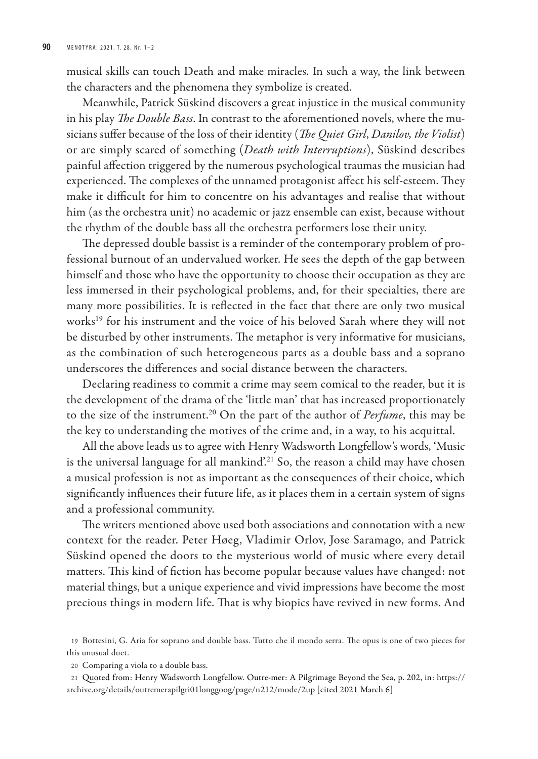musical skills can touch Death and make miracles. In such a way, the link between the characters and the phenomena they symbolize is created.

Meanwhile, Patrick Süskind discovers a great injustice in the musical community in his play *The Double Bass*. In contrast to the aforementioned novels, where the musicians suffer because of the loss of their identity (*The Quiet Girl*, *Danilov, the Violist*) or are simply scared of something (*Death with Interruptions*), Süskind describes painful affection triggered by the numerous psychological traumas the musician had experienced. The complexes of the unnamed protagonist affect his self-esteem. They make it difficult for him to concentre on his advantages and realise that without him (as the orchestra unit) no academic or jazz ensemble can exist, because without the rhythm of the double bass all the orchestra performers lose their unity.

The depressed double bassist is a reminder of the contemporary problem of professional burnout of an undervalued worker. He sees the depth of the gap between himself and those who have the opportunity to choose their occupation as they are less immersed in their psychological problems, and, for their specialties, there are many more possibilities. It is reflected in the fact that there are only two musical works<sup>19</sup> for his instrument and the voice of his beloved Sarah where they will not be disturbed by other instruments. The metaphor is very informative for musicians, as the combination of such heterogeneous parts as a double bass and a soprano underscores the differences and social distance between the characters.

Declaring readiness to commit a crime may seem comical to the reader, but it is the development of the drama of the 'little man' that has increased proportionately to the size of the instrument.<sup>20</sup> On the part of the author of *Perfume*, this may be the key to understanding the motives of the crime and, in a way, to his acquittal.

All the above leads us to agree with Henry Wadsworth Longfellow's words, 'Music is the universal language for all mankind'.<sup>21</sup> So, the reason a child may have chosen a musical profession is not as important as the consequences of their choice, which significantly influences their future life, as it places them in a certain system of signs and a professional community.

The writers mentioned above used both associations and connotation with a new context for the reader. Peter Høeg, Vladimir Orlov, Jose Saramago, and Patrick Süskind opened the doors to the mysterious world of music where every detail matters. This kind of fiction has become popular because values have changed: not material things, but a unique experience and vivid impressions have become the most precious things in modern life. That is why biopics have revived in new forms. And

20 Comparing a viola to a double bass.

21 Quoted from: Henry Wadsworth Longfellow. Outre-mer: A Pilgrimage Beyond the Sea, p. 202, in: https:// archive.org/details/outremerapilgri01longgoog/page/n212/mode/2up [cited 2021 March 6]

<sup>19</sup> Bottesini, G. Aria for soprano and double bass. Tutto che il mondo serra. The opus is one of two pieces for this unusual duet.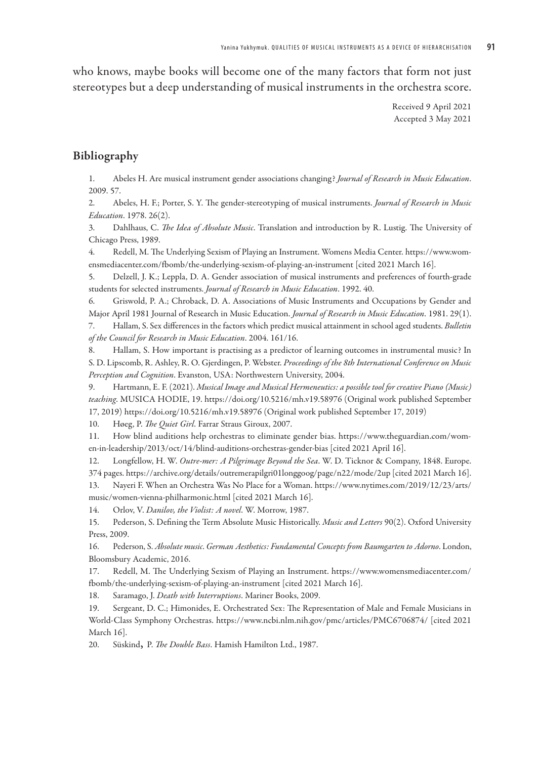who knows, maybe books will become one of the many factors that form not just stereotypes but a deep understanding of musical instruments in the orchestra score.

> Received 9 April 2021 Accepted 3 May 2021

#### Bibliography

1. Abeles H. Are musical instrument gender associations changing? *Journal of Research in Music Education*. 2009. 57.

2. Abeles, H. F.; Porter, S. Y. The gender-stereotyping of musical instruments. *Journal of Research in Music Education*. 1978. 26(2).

3. Dahlhaus, C. *The Idea of Absolute Music*. Translation and introduction by R. Lustig. The University of Chicago Press, 1989.

4. Redell, M. The Underlying Sexism of Playing an Instrument. Womens Media Center. https://www.womensmediacenter.com/fbomb/the-underlying-sexism-of-playing-an-instrument [cited 2021 March 16].

5. Delzell, J. K.; Leppla, D. A. Gender association of musical instruments and preferences of fourth-grade students for selected instruments. *Journal of Research in Music Education*. 1992. 40.

6. Griswold, P. A.; Chroback, D. A. Associations of Music Instruments and Occupations by Gender and Major April 1981 Journal of Research in Music Education. *Journal of Research in Music Education*. 1981. 29(1).

7. Hallam, S. Sex differences in the factors which predict musical attainment in school aged students. *Bulletin of the Council for Research in Music Education*. 2004. 161/16.

8. Hallam, S. How important is practising as a predictor of learning outcomes in instrumental music? In S. D. Lipscomb, R. Ashley, R. O. Gjerdingen, P. Webster. *Proceedings of the 8th International Conference on Music Perception and Cognition*. Evanston, USA: Northwestern University, 2004.

9. Hartmann, E. F. (2021). *Musical Image and Musical Hermeneutics: a possible tool for creative Piano (Music) teaching*. MUSICA HODIE, 19. https://doi.org/10.5216/mh.v19.58976 (Original work published September 17, 2019) https://doi.org/10.5216/mh.v19.58976 (Original work published September 17, 2019)

10. Høeg, P. *The Quiet Girl*. Farrar Straus Giroux, 2007.

11. How blind auditions help orchestras to eliminate gender bias. https://www.theguardian.com/women-in-leadership/2013/oct/14/blind-auditions-orchestras-gender-bias [cited 2021 April 16].

12. Longfellow, H. W. *Outre-mer: A Pilgrimage Beyond the Sea*. W. D. Ticknor & Company, 1848. Europe. 374 pages. https://archive.org/details/outremerapilgri01longgoog/page/n22/mode/2up [cited 2021 March 16].

13. Nayeri F. When an Orchestra Was No Place for a Woman. https://www.nytimes.com/2019/12/23/arts/ music/women-vienna-philharmonic.html [cited 2021 March 16].

14. Orlov, V. *Danilov, the Violist: A novel*. W. Morrow, 1987.

15. Pederson, S. Defining the Term Absolute Music Historically. *Music and Letters* 90(2). Oxford University Press, 2009.

16. Pederson, S. *Absolute music*. *German Aesthetics: Fundamental Concepts from Baumgarten to Adorno*. London, Bloomsbury Academic, 2016.

17. Redell, M. The Underlying Sexism of Playing an Instrument. https://www.womensmediacenter.com/ fbomb/the-underlying-sexism-of-playing-an-instrument [cited 2021 March 16].

18. Saramago, J. *Death with Interruptions*. Mariner Books, 2009.

19. Sergeant, D. C.; Himonides, E. Orchestrated Sex: The Representation of Male and Female Musicians in World-Class Symphony Orchestras. https://www.ncbi.nlm.nih.gov/pmc/articles/PMC6706874/ [cited 2021 March 16].

20. Süskind, P. *The Double Bass*. Hamish Hamilton Ltd., 1987.